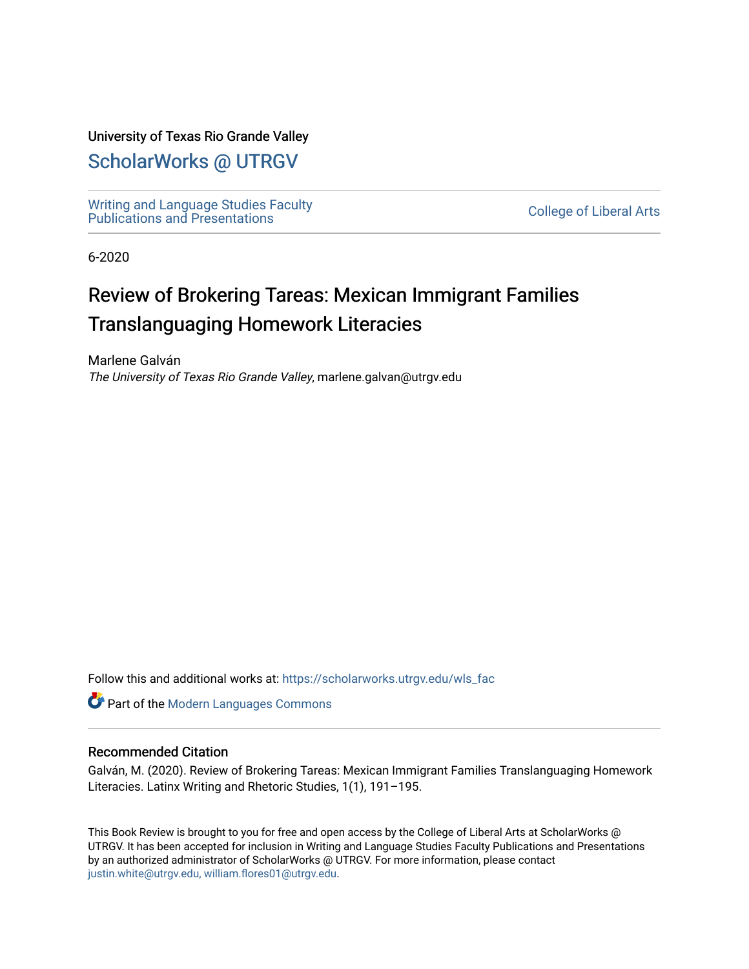### University of Texas Rio Grande Valley

## [ScholarWorks @ UTRGV](https://scholarworks.utrgv.edu/)

[Writing and Language Studies Faculty](https://scholarworks.utrgv.edu/wls_fac)  withing and Language Studies Faculty<br>Publications and Presentations

6-2020

# Review of Brokering Tareas: Mexican Immigrant Families Translanguaging Homework Literacies

Marlene Galván The University of Texas Rio Grande Valley, marlene.galvan@utrgv.edu

Follow this and additional works at: [https://scholarworks.utrgv.edu/wls\\_fac](https://scholarworks.utrgv.edu/wls_fac?utm_source=scholarworks.utrgv.edu%2Fwls_fac%2F56&utm_medium=PDF&utm_campaign=PDFCoverPages) 

**Part of the Modern Languages Commons** 

#### Recommended Citation

Galván, M. (2020). Review of Brokering Tareas: Mexican Immigrant Families Translanguaging Homework Literacies. Latinx Writing and Rhetoric Studies, 1(1), 191–195.

This Book Review is brought to you for free and open access by the College of Liberal Arts at ScholarWorks @ UTRGV. It has been accepted for inclusion in Writing and Language Studies Faculty Publications and Presentations by an authorized administrator of ScholarWorks @ UTRGV. For more information, please contact [justin.white@utrgv.edu, william.flores01@utrgv.edu](mailto:justin.white@utrgv.edu,%20william.flores01@utrgv.edu).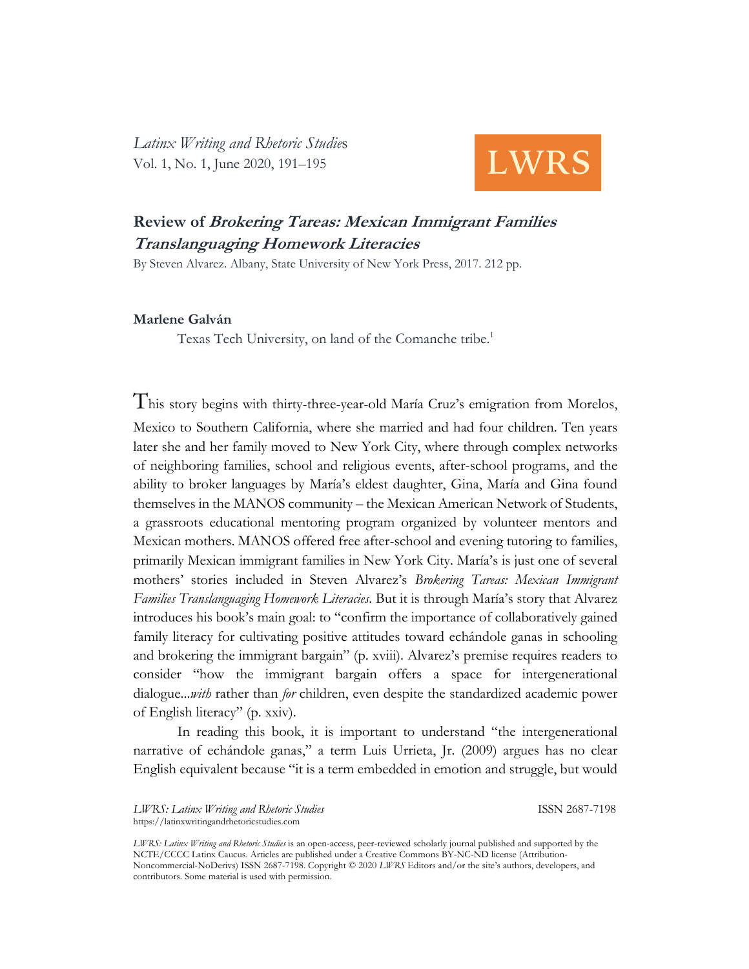*Latinx Writing and Rhetoric Studie*s Vol. 1, No. 1, June 2020, 191–195



## **Review of Brokering Tareas: Mexican Immigrant Families Translanguaging Homework Literacies**

By Steven Alvarez. Albany, State University of New York Press, 2017. 212 pp.

#### **Marlene Galván**

Texas Tech University, on land of the Comanche tribe. 1

This story begins with thirty-three-year-old María Cruz's emigration from Morelos, Mexico to Southern California, where she married and had four children. Ten years later she and her family moved to New York City, where through complex networks of neighboring families, school and religious events, after-school programs, and the ability to broker languages by María's eldest daughter, Gina, María and Gina found themselves in the MANOS community – the Mexican American Network of Students, a grassroots educational mentoring program organized by volunteer mentors and Mexican mothers. MANOS offered free after-school and evening tutoring to families, primarily Mexican immigrant families in New York City. María's is just one of several mothers' stories included in Steven Alvarez's *Brokering Tareas: Mexican Immigrant Families Translanguaging Homework Literacies*. But it is through María's story that Alvarez introduces his book's main goal: to "confirm the importance of collaboratively gained family literacy for cultivating positive attitudes toward echándole ganas in schooling and brokering the immigrant bargain" (p. xviii). Alvarez's premise requires readers to consider "how the immigrant bargain offers a space for intergenerational dialogue...*with* rather than *for* children, even despite the standardized academic power of English literacy" (p. xxiv).

In reading this book, it is important to understand "the intergenerational narrative of echándole ganas," a term Luis Urrieta, Jr. (2009) argues has no clear English equivalent because "it is a term embedded in emotion and struggle, but would

*LWRS: Latinx Writing and Rhetoric Studies* ISSN 2687-7198 <https://latinxwritingandrhetoricstudies.com>

*LWRS: Latinx Writing and Rhetoric Studies* is an open-access, peer-reviewed scholarly journal published and supported by the NCTE/CCCC Latinx Caucus. Articles are published under a Creative Commons BY-NC-ND license (Attribution-Noncommercial-NoDerivs) ISSN 2687-7198. Copyright © 2020 *LWRS* Editors and/or the site's authors, developers, and contributors. Some material is used with permission.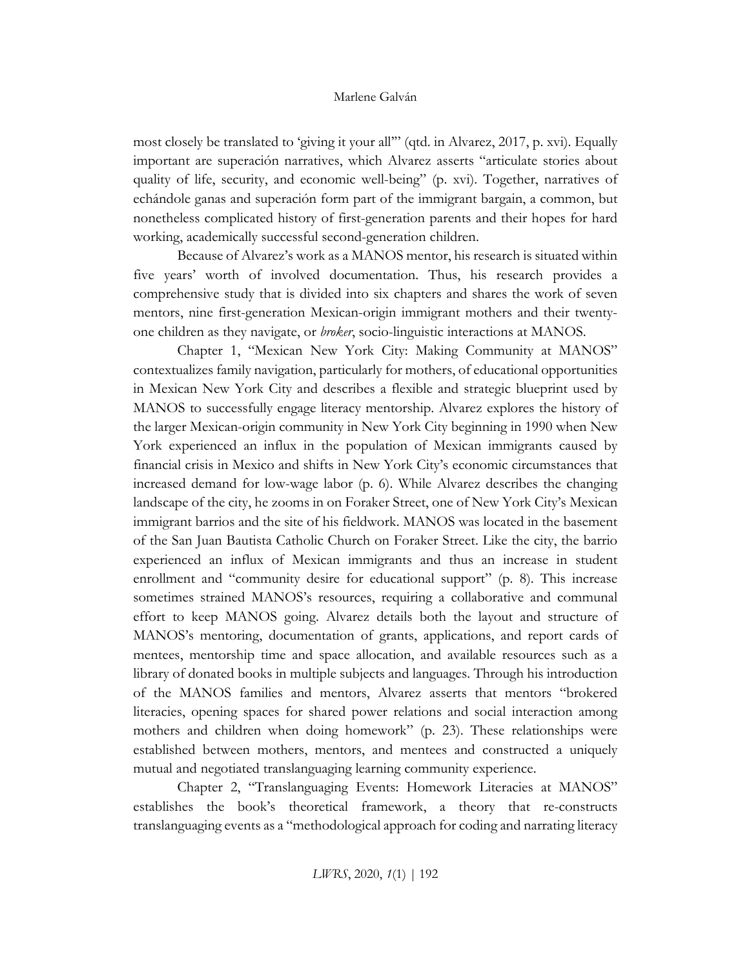#### Marlene Galván

most closely be translated to 'giving it your all'" (qtd. in Alvarez, 2017, p. xvi). Equally important are superación narratives, which Alvarez asserts "articulate stories about quality of life, security, and economic well-being" (p. xvi). Together, narratives of echándole ganas and superación form part of the immigrant bargain, a common, but nonetheless complicated history of first-generation parents and their hopes for hard working, academically successful second-generation children.

Because of Alvarez's work as a MANOS mentor, his research is situated within five years' worth of involved documentation. Thus, his research provides a comprehensive study that is divided into six chapters and shares the work of seven mentors, nine first-generation Mexican-origin immigrant mothers and their twentyone children as they navigate, or *broker*, socio-linguistic interactions at MANOS.

Chapter 1, "Mexican New York City: Making Community at MANOS" contextualizes family navigation, particularly for mothers, of educational opportunities in Mexican New York City and describes a flexible and strategic blueprint used by MANOS to successfully engage literacy mentorship. Alvarez explores the history of the larger Mexican-origin community in New York City beginning in 1990 when New York experienced an influx in the population of Mexican immigrants caused by financial crisis in Mexico and shifts in New York City's economic circumstances that increased demand for low-wage labor (p. 6). While Alvarez describes the changing landscape of the city, he zooms in on Foraker Street, one of New York City's Mexican immigrant barrios and the site of his fieldwork. MANOS was located in the basement of the San Juan Bautista Catholic Church on Foraker Street. Like the city, the barrio experienced an influx of Mexican immigrants and thus an increase in student enrollment and "community desire for educational support" (p. 8). This increase sometimes strained MANOS's resources, requiring a collaborative and communal effort to keep MANOS going. Alvarez details both the layout and structure of MANOS's mentoring, documentation of grants, applications, and report cards of mentees, mentorship time and space allocation, and available resources such as a library of donated books in multiple subjects and languages. Through his introduction of the MANOS families and mentors, Alvarez asserts that mentors "brokered literacies, opening spaces for shared power relations and social interaction among mothers and children when doing homework" (p. 23). These relationships were established between mothers, mentors, and mentees and constructed a uniquely mutual and negotiated translanguaging learning community experience.

Chapter 2, "Translanguaging Events: Homework Literacies at MANOS" establishes the book's theoretical framework, a theory that re-constructs translanguaging events as a "methodological approach for coding and narrating literacy

*LWRS*, 2020, *1*(1) | 192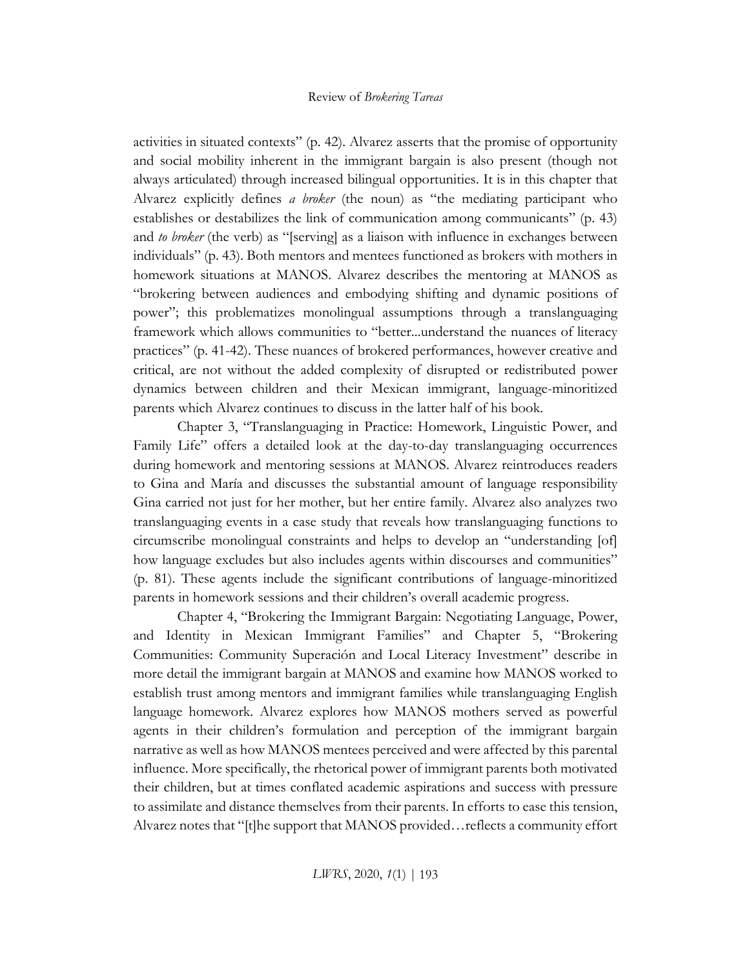activities in situated contexts" (p. 42). Alvarez asserts that the promise of opportunity and social mobility inherent in the immigrant bargain is also present (though not always articulated) through increased bilingual opportunities. It is in this chapter that Alvarez explicitly defines *a broker* (the noun) as "the mediating participant who establishes or destabilizes the link of communication among communicants" (p. 43) and *to broker* (the verb) as "[serving] as a liaison with influence in exchanges between individuals" (p. 43). Both mentors and mentees functioned as brokers with mothers in homework situations at MANOS. Alvarez describes the mentoring at MANOS as "brokering between audiences and embodying shifting and dynamic positions of power"; this problematizes monolingual assumptions through a translanguaging framework which allows communities to "better...understand the nuances of literacy practices" (p. 41-42). These nuances of brokered performances, however creative and critical, are not without the added complexity of disrupted or redistributed power dynamics between children and their Mexican immigrant, language-minoritized parents which Alvarez continues to discuss in the latter half of his book.

Chapter 3, "Translanguaging in Practice: Homework, Linguistic Power, and Family Life" offers a detailed look at the day-to-day translanguaging occurrences during homework and mentoring sessions at MANOS. Alvarez reintroduces readers to Gina and María and discusses the substantial amount of language responsibility Gina carried not just for her mother, but her entire family. Alvarez also analyzes two translanguaging events in a case study that reveals how translanguaging functions to circumscribe monolingual constraints and helps to develop an "understanding [of] how language excludes but also includes agents within discourses and communities" (p. 81). These agents include the significant contributions of language-minoritized parents in homework sessions and their children's overall academic progress.

Chapter 4, "Brokering the Immigrant Bargain: Negotiating Language, Power, and Identity in Mexican Immigrant Families" and Chapter 5, "Brokering Communities: Community Superación and Local Literacy Investment" describe in more detail the immigrant bargain at MANOS and examine how MANOS worked to establish trust among mentors and immigrant families while translanguaging English language homework. Alvarez explores how MANOS mothers served as powerful agents in their children's formulation and perception of the immigrant bargain narrative as well as how MANOS mentees perceived and were affected by this parental influence. More specifically, the rhetorical power of immigrant parents both motivated their children, but at times conflated academic aspirations and success with pressure to assimilate and distance themselves from their parents. In efforts to ease this tension, Alvarez notes that "[t]he support that MANOS provided…reflects a community effort

*LWRS*, 2020, *1*(1) | 193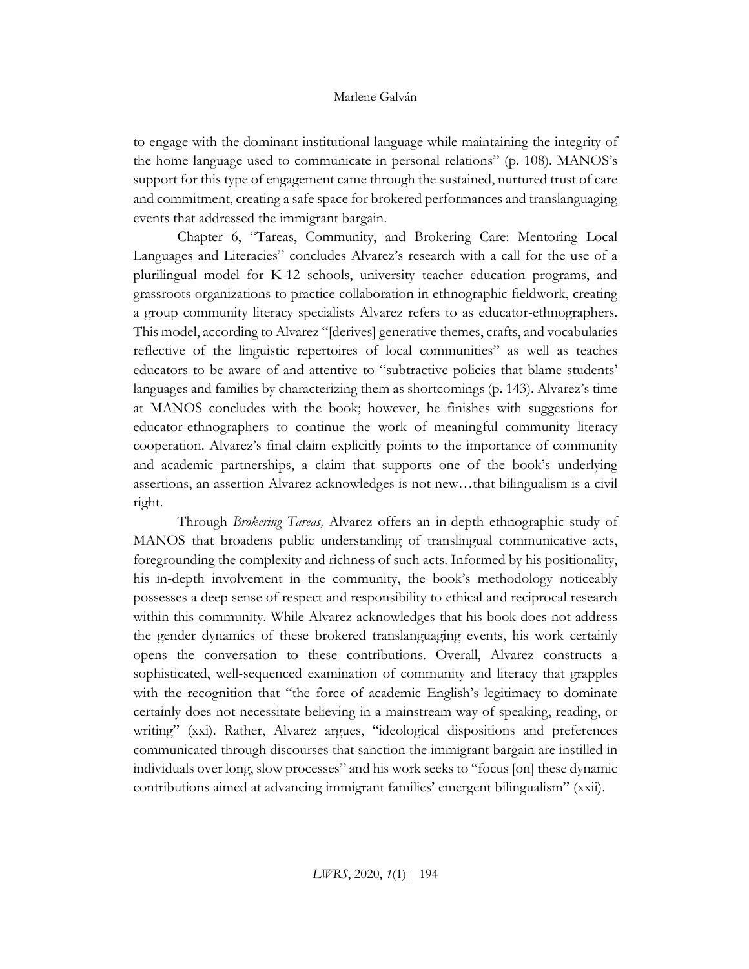#### Marlene Galván

to engage with the dominant institutional language while maintaining the integrity of the home language used to communicate in personal relations" (p. 108). MANOS's support for this type of engagement came through the sustained, nurtured trust of care and commitment, creating a safe space for brokered performances and translanguaging events that addressed the immigrant bargain.

Chapter 6, "Tareas, Community, and Brokering Care: Mentoring Local Languages and Literacies" concludes Alvarez's research with a call for the use of a plurilingual model for K-12 schools, university teacher education programs, and grassroots organizations to practice collaboration in ethnographic fieldwork, creating a group community literacy specialists Alvarez refers to as educator-ethnographers. This model, according to Alvarez "[derives] generative themes, crafts, and vocabularies reflective of the linguistic repertoires of local communities" as well as teaches educators to be aware of and attentive to "subtractive policies that blame students' languages and families by characterizing them as shortcomings (p. 143). Alvarez's time at MANOS concludes with the book; however, he finishes with suggestions for educator-ethnographers to continue the work of meaningful community literacy cooperation. Alvarez's final claim explicitly points to the importance of community and academic partnerships, a claim that supports one of the book's underlying assertions, an assertion Alvarez acknowledges is not new…that bilingualism is a civil right.

Through *Brokering Tareas,* Alvarez offers an in-depth ethnographic study of MANOS that broadens public understanding of translingual communicative acts, foregrounding the complexity and richness of such acts. Informed by his positionality, his in-depth involvement in the community, the book's methodology noticeably possesses a deep sense of respect and responsibility to ethical and reciprocal research within this community. While Alvarez acknowledges that his book does not address the gender dynamics of these brokered translanguaging events, his work certainly opens the conversation to these contributions. Overall, Alvarez constructs a sophisticated, well-sequenced examination of community and literacy that grapples with the recognition that "the force of academic English's legitimacy to dominate certainly does not necessitate believing in a mainstream way of speaking, reading, or writing" (xxi). Rather, Alvarez argues, "ideological dispositions and preferences communicated through discourses that sanction the immigrant bargain are instilled in individuals over long, slow processes" and his work seeks to "focus [on] these dynamic contributions aimed at advancing immigrant families' emergent bilingualism" (xxii).